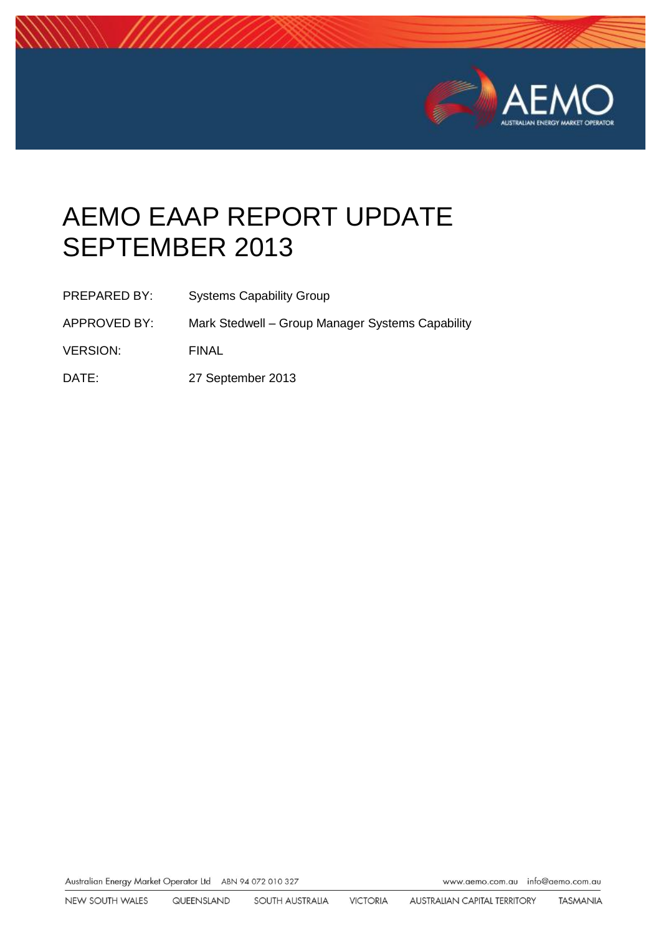

# AEMO EAAP REPORT UPDATE SEPTEMBER 2013

- PREPARED BY: Systems Capability Group
- APPROVED BY: Mark Stedwell Group Manager Systems Capability
- VERSION: FINAL
- DATE: 27 September 2013

Australian Energy Market Operator Ltd ABN 94 072 010 327

www.aemo.com.au info@aemo.com.au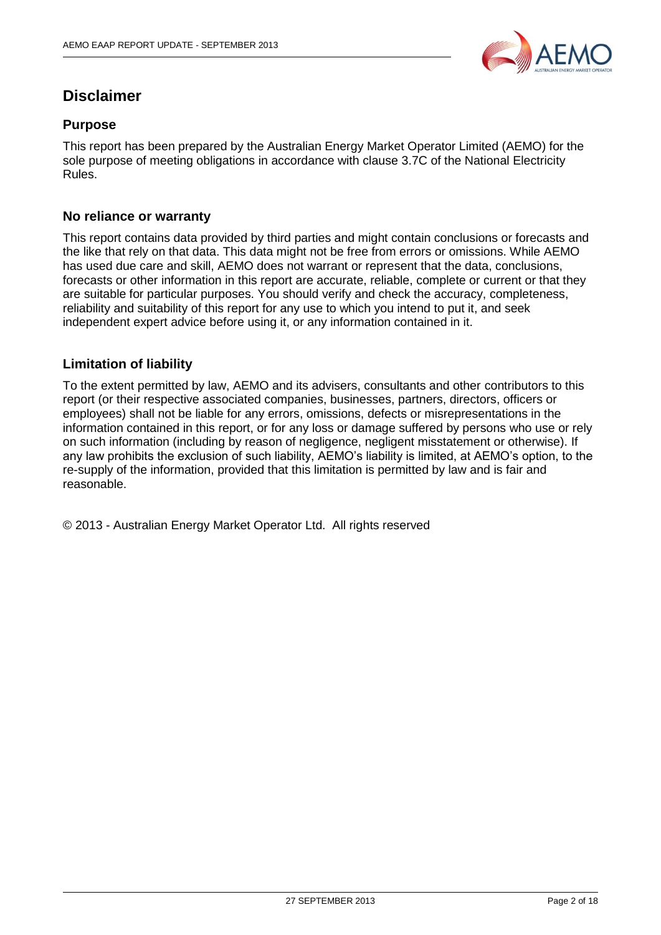

# **Disclaimer**

#### **Purpose**

This report has been prepared by the Australian Energy Market Operator Limited (AEMO) for the sole purpose of meeting obligations in accordance with clause 3.7C of the National Electricity Rules.

#### **No reliance or warranty**

This report contains data provided by third parties and might contain conclusions or forecasts and the like that rely on that data. This data might not be free from errors or omissions. While AEMO has used due care and skill, AEMO does not warrant or represent that the data, conclusions, forecasts or other information in this report are accurate, reliable, complete or current or that they are suitable for particular purposes. You should verify and check the accuracy, completeness, reliability and suitability of this report for any use to which you intend to put it, and seek independent expert advice before using it, or any information contained in it.

#### **Limitation of liability**

To the extent permitted by law, AEMO and its advisers, consultants and other contributors to this report (or their respective associated companies, businesses, partners, directors, officers or employees) shall not be liable for any errors, omissions, defects or misrepresentations in the information contained in this report, or for any loss or damage suffered by persons who use or rely on such information (including by reason of negligence, negligent misstatement or otherwise). If any law prohibits the exclusion of such liability, AEMO's liability is limited, at AEMO's option, to the re-supply of the information, provided that this limitation is permitted by law and is fair and reasonable.

© 2013 - Australian Energy Market Operator Ltd. All rights reserved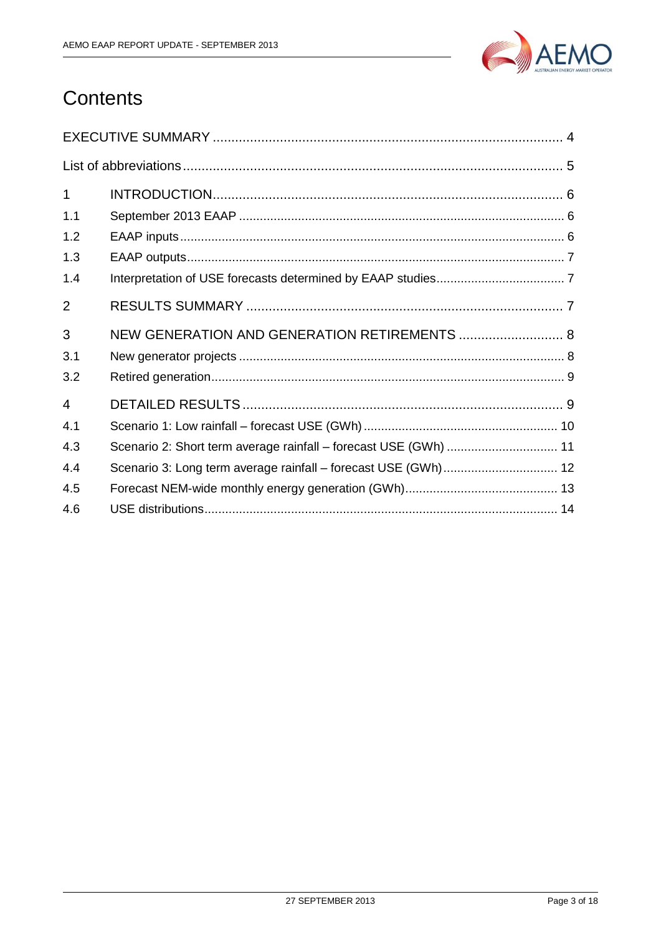

# Contents

| $\mathbf 1$    |                                                                  |  |
|----------------|------------------------------------------------------------------|--|
| 1.1            |                                                                  |  |
| 1.2            |                                                                  |  |
| 1.3            |                                                                  |  |
| 1.4            |                                                                  |  |
| $\overline{2}$ |                                                                  |  |
| 3              | NEW GENERATION AND GENERATION RETIREMENTS  8                     |  |
| 3.1            |                                                                  |  |
| 3.2            |                                                                  |  |
| $\overline{4}$ |                                                                  |  |
| 4.1            |                                                                  |  |
| 4.3            | Scenario 2: Short term average rainfall - forecast USE (GWh)  11 |  |
| 4.4            | Scenario 3: Long term average rainfall - forecast USE (GWh) 12   |  |
| 4.5            |                                                                  |  |
| 4.6            |                                                                  |  |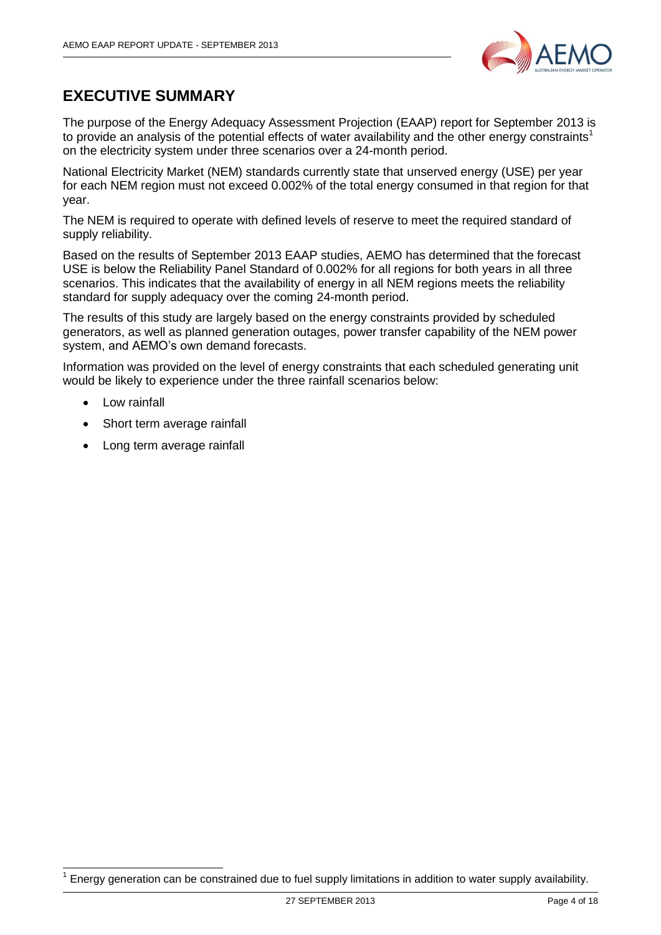

# <span id="page-3-0"></span>**EXECUTIVE SUMMARY**

The purpose of the Energy Adequacy Assessment Projection (EAAP) report for September 2013 is to provide an analysis of the potential effects of water availability and the other energy constraints<sup>1</sup> on the electricity system under three scenarios over a 24-month period.

National Electricity Market (NEM) standards currently state that unserved energy (USE) per year for each NEM region must not exceed 0.002% of the total energy consumed in that region for that year.

The NEM is required to operate with defined levels of reserve to meet the required standard of supply reliability.

Based on the results of September 2013 EAAP studies, AEMO has determined that the forecast USE is below the Reliability Panel Standard of 0.002% for all regions for both years in all three scenarios. This indicates that the availability of energy in all NEM regions meets the reliability standard for supply adequacy over the coming 24-month period.

The results of this study are largely based on the energy constraints provided by scheduled generators, as well as planned generation outages, power transfer capability of the NEM power system, and AEMO's own demand forecasts.

Information was provided on the level of energy constraints that each scheduled generating unit would be likely to experience under the three rainfall scenarios below:

Low rainfall

-

- Short term average rainfall
- Long term average rainfall

<sup>1</sup> Energy generation can be constrained due to fuel supply limitations in addition to water supply availability.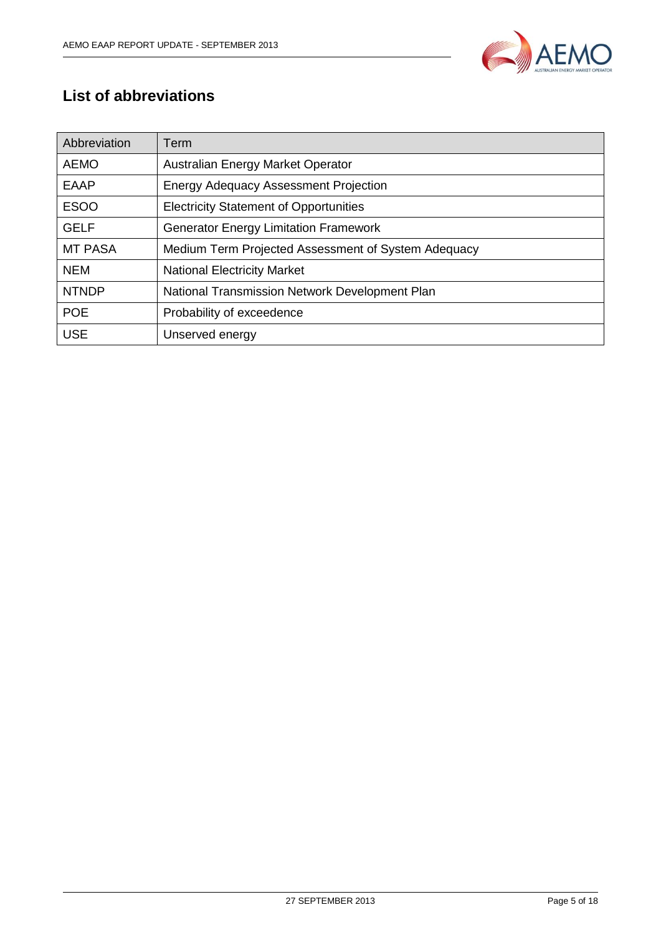

# <span id="page-4-0"></span>**List of abbreviations**

| Abbreviation   | Term                                                |
|----------------|-----------------------------------------------------|
| <b>AEMO</b>    | Australian Energy Market Operator                   |
| EAAP           | <b>Energy Adequacy Assessment Projection</b>        |
| <b>ESOO</b>    | <b>Electricity Statement of Opportunities</b>       |
| <b>GELF</b>    | <b>Generator Energy Limitation Framework</b>        |
| <b>MT PASA</b> | Medium Term Projected Assessment of System Adequacy |
| <b>NEM</b>     | <b>National Electricity Market</b>                  |
| <b>NTNDP</b>   | National Transmission Network Development Plan      |
| <b>POE</b>     | Probability of exceedence                           |
| <b>USE</b>     | Unserved energy                                     |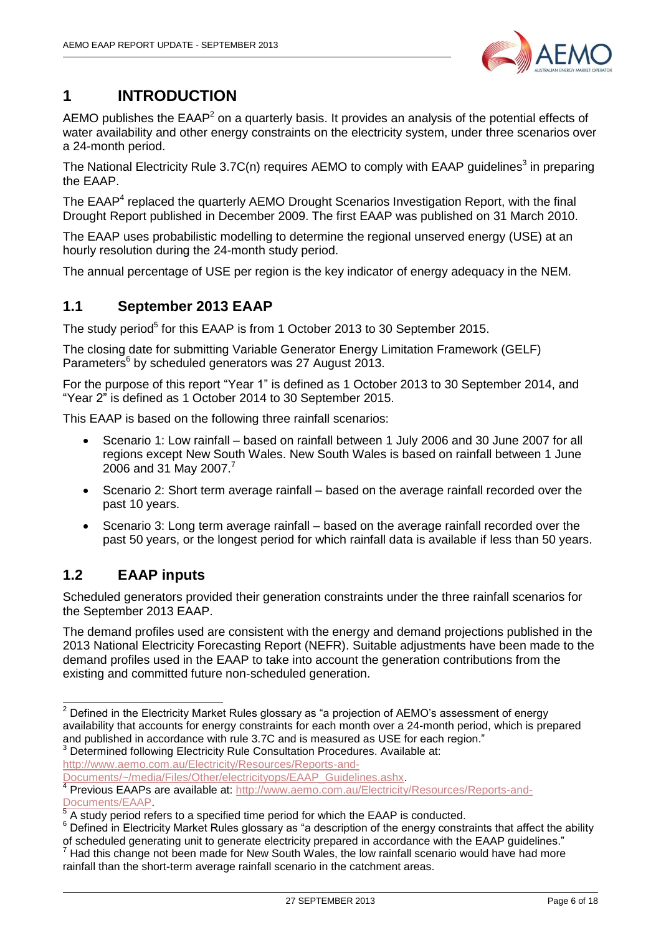

# <span id="page-5-0"></span>**1 INTRODUCTION**

AEMO publishes the EAAP<sup>2</sup> on a quarterly basis. It provides an analysis of the potential effects of water availability and other energy constraints on the electricity system, under three scenarios over a 24-month period.

The National Electricity Rule 3.7C(n) requires AEMO to comply with EAAP guidelines<sup>3</sup> in preparing the EAAP.

The EAAP<sup>4</sup> replaced the quarterly AEMO Drought Scenarios Investigation Report, with the final Drought Report published in December 2009. The first EAAP was published on 31 March 2010.

The EAAP uses probabilistic modelling to determine the regional unserved energy (USE) at an hourly resolution during the 24-month study period.

The annual percentage of USE per region is the key indicator of energy adequacy in the NEM.

### <span id="page-5-1"></span>**1.1 September 2013 EAAP**

The study period<sup>5</sup> for this EAAP is from 1 October 2013 to 30 September 2015.

The closing date for submitting Variable Generator Energy Limitation Framework (GELF) Parameters<sup>6</sup> by scheduled generators was 27 August 2013.

For the purpose of this report "Year 1" is defined as 1 October 2013 to 30 September 2014, and "Year 2" is defined as 1 October 2014 to 30 September 2015.

This EAAP is based on the following three rainfall scenarios:

- Scenario 1: Low rainfall based on rainfall between 1 July 2006 and 30 June 2007 for all regions except New South Wales. New South Wales is based on rainfall between 1 June 2006 and 31 May 2007.<sup>7</sup>
- Scenario 2: Short term average rainfall based on the average rainfall recorded over the past 10 years.
- Scenario 3: Long term average rainfall based on the average rainfall recorded over the past 50 years, or the longest period for which rainfall data is available if less than 50 years.

### <span id="page-5-2"></span>**1.2 EAAP inputs**

Scheduled generators provided their generation constraints under the three rainfall scenarios for the September 2013 EAAP.

The demand profiles used are consistent with the energy and demand projections published in the 2013 National Electricity Forecasting Report (NEFR). Suitable adjustments have been made to the demand profiles used in the EAAP to take into account the generation contributions from the existing and committed future non-scheduled generation.

[http://www.aemo.com.au/Electricity/Resources/Reports-and-](http://www.aemo.com.au/Electricity/Resources/Reports-and-Documents/~/media/Files/Other/electricityops/EAAP_Guidelines.ashx)

 $\overline{\phantom{a}}$  $2$  Defined in the Electricity Market Rules glossary as "a projection of AEMO's assessment of energy availability that accounts for energy constraints for each month over a 24-month period, which is prepared and published in accordance with rule 3.7C and is measured as USE for each region." 3 Determined following Electricity Rule Consultation Procedures. Available at:

[Documents/~/media/Files/Other/electricityops/EAAP\\_Guidelines.ashx.](http://www.aemo.com.au/Electricity/Resources/Reports-and-Documents/~/media/Files/Other/electricityops/EAAP_Guidelines.ashx)

<sup>&</sup>lt;sup>4</sup> Previous EAAPs are available at: [http://www.aemo.com.au/Electricity/Resources/Reports-and-](http://www.aemo.com.au/Electricity/Resources/Reports-and-Documents/EAAP)[Documents/EAAP.](http://www.aemo.com.au/Electricity/Resources/Reports-and-Documents/EAAP)

A study period refers to a specified time period for which the EAAP is conducted.

<sup>&</sup>lt;sup>6</sup> Defined in Electricity Market Rules glossary as "a description of the energy constraints that affect the ability of scheduled generating unit to generate electricity prepared in accordance with the EAAP guidelines."

Had this change not been made for New South Wales, the low rainfall scenario would have had more rainfall than the short-term average rainfall scenario in the catchment areas.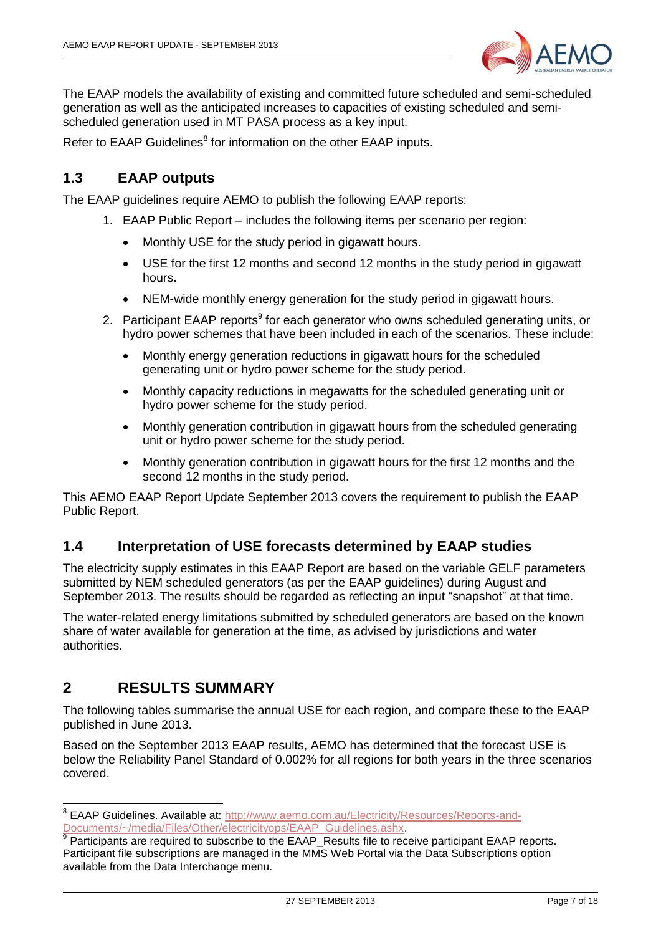

The EAAP models the availability of existing and committed future scheduled and semi-scheduled generation as well as the anticipated increases to capacities of existing scheduled and semischeduled generation used in MT PASA process as a key input.

Refer to EAAP Guidelines<sup>8</sup> for information on the other EAAP inputs.

### <span id="page-6-0"></span>**1.3 EAAP outputs**

The EAAP guidelines require AEMO to publish the following EAAP reports:

- 1. EAAP Public Report includes the following items per scenario per region:
	- Monthly USE for the study period in gigawatt hours.
	- USE for the first 12 months and second 12 months in the study period in gigawatt hours.
	- NEM-wide monthly energy generation for the study period in gigawatt hours.
- 2. Participant EAAP reports<sup>9</sup> for each generator who owns scheduled generating units, or hydro power schemes that have been included in each of the scenarios. These include:
	- Monthly energy generation reductions in gigawatt hours for the scheduled generating unit or hydro power scheme for the study period.
	- Monthly capacity reductions in megawatts for the scheduled generating unit or hydro power scheme for the study period.
	- Monthly generation contribution in gigawatt hours from the scheduled generating unit or hydro power scheme for the study period.
	- Monthly generation contribution in gigawatt hours for the first 12 months and the second 12 months in the study period.

This AEMO EAAP Report Update September 2013 covers the requirement to publish the EAAP Public Report.

#### <span id="page-6-1"></span>**1.4 Interpretation of USE forecasts determined by EAAP studies**

The electricity supply estimates in this EAAP Report are based on the variable GELF parameters submitted by NEM scheduled generators (as per the EAAP guidelines) during August and September 2013. The results should be regarded as reflecting an input "snapshot" at that time.

The water-related energy limitations submitted by scheduled generators are based on the known share of water available for generation at the time, as advised by jurisdictions and water authorities.

### <span id="page-6-2"></span>**2 RESULTS SUMMARY**

The following tables summarise the annual USE for each region, and compare these to the EAAP published in June 2013.

Based on the September 2013 EAAP results, AEMO has determined that the forecast USE is below the Reliability Panel Standard of 0.002% for all regions for both years in the three scenarios covered.

 8 EAAP Guidelines. Available at: [http://www.aemo.com.au/Electricity/Resources/Reports-and-](http://www.aemo.com.au/Electricity/Resources/Reports-and-Documents/~/media/Files/Other/electricityops/EAAP_Guidelines.ashx)

[Documents/~/media/Files/Other/electricityops/EAAP\\_Guidelines.ashx.](http://www.aemo.com.au/Electricity/Resources/Reports-and-Documents/~/media/Files/Other/electricityops/EAAP_Guidelines.ashx)<br><sup>9</sup> Participants are required to subscribe to the EAAP\_Results file to receive participant EAAP reports. Participant file subscriptions are managed in the MMS Web Portal via the Data Subscriptions option available from the Data Interchange menu.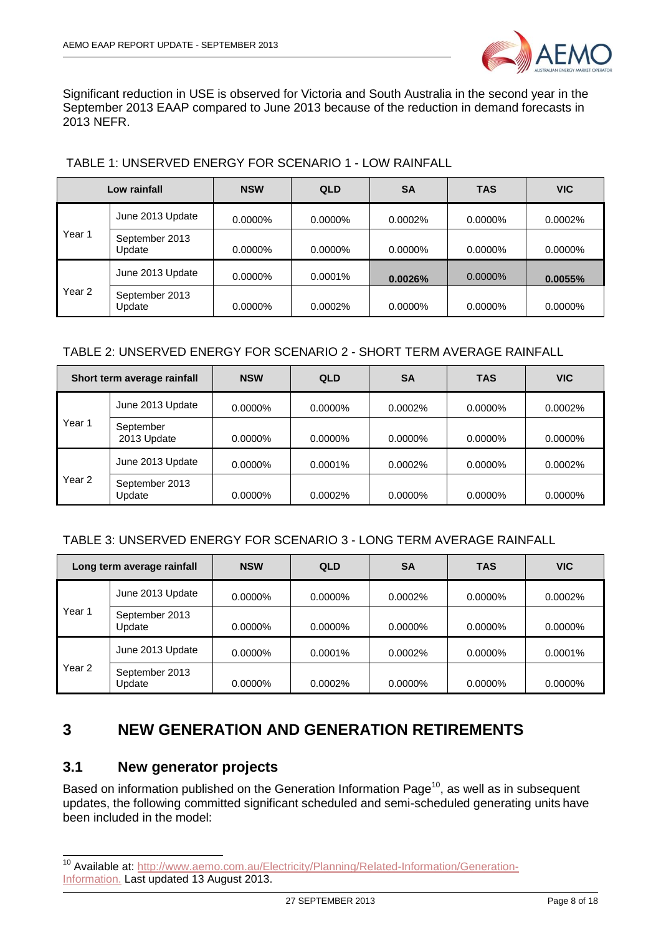

Significant reduction in USE is observed for Victoria and South Australia in the second year in the September 2013 EAAP compared to June 2013 because of the reduction in demand forecasts in 2013 NEFR.

|                   | Low rainfall             | <b>NSW</b> | <b>QLD</b> | SΑ         | <b>TAS</b> | <b>VIC</b> |
|-------------------|--------------------------|------------|------------|------------|------------|------------|
|                   | June 2013 Update         | $0.0000\%$ | $0.0000\%$ | 0.0002%    | $0.0000\%$ | 0.0002%    |
| Year 1            | September 2013<br>Update | 0.0000%    | 0.0000%    | 0.0000%    | 0.0000%    | 0.0000%    |
|                   | June 2013 Update         | $0.0000\%$ | 0.0001%    | 0.0026%    | $0.0000\%$ | 0.0055%    |
| Year <sub>2</sub> | September 2013<br>Update | 0.0000%    | 0.0002%    | $0.0000\%$ | 0.0000%    | $0.0000\%$ |

#### TABLE 1: UNSERVED ENERGY FOR SCENARIO 1 - LOW RAINFALL

#### TABLE 2: UNSERVED ENERGY FOR SCENARIO 2 - SHORT TERM AVERAGE RAINFALL

| Short term average rainfall |                          | <b>NSW</b> | <b>QLD</b> | <b>SA</b>  | <b>TAS</b> | <b>VIC</b> |
|-----------------------------|--------------------------|------------|------------|------------|------------|------------|
|                             | June 2013 Update         | 0.0000%    | $0.0000\%$ | 0.0002%    | 0.0000%    | 0.0002%    |
| Year 1                      | September<br>2013 Update | 0.0000%    | 0.0000%    | 0.0000%    | 0.0000%    | 0.0000%    |
|                             | June 2013 Update         | $0.0000\%$ | 0.0001%    | 0.0002%    | 0.0000%    | 0.0002%    |
| Year 2                      | September 2013<br>Update | $0.0000\%$ | 0.0002%    | $0.0000\%$ | $0.0000\%$ | $0.0000\%$ |

#### TABLE 3: UNSERVED ENERGY FOR SCENARIO 3 - LONG TERM AVERAGE RAINFALL

| Long term average rainfall |                          | <b>NSW</b> | <b>QLD</b> | <b>SA</b>  | <b>TAS</b> | <b>VIC</b> |
|----------------------------|--------------------------|------------|------------|------------|------------|------------|
|                            | June 2013 Update         | 0.0000%    | $0.0000\%$ | $0.0002\%$ | $0.0000\%$ | 0.0002%    |
| Year <sub>1</sub>          | September 2013<br>Update | 0.0000%    | $0.0000\%$ | $0.0000\%$ | $0.0000\%$ | $0.0000\%$ |
|                            | June 2013 Update         | $0.0000\%$ | $0.0001\%$ | $0.0002\%$ | $0.0000\%$ | $0.0001\%$ |
| Year 2                     | September 2013<br>Update | $0.0000\%$ | 0.0002%    | $0.0000\%$ | $0.0000\%$ | $0.0000\%$ |

# <span id="page-7-0"></span>**3 NEW GENERATION AND GENERATION RETIREMENTS**

#### <span id="page-7-1"></span>**3.1 New generator projects**

 $\overline{\phantom{a}}$ 

Based on information published on the Generation Information Page<sup>10</sup>, as well as in subsequent updates, the following committed significant scheduled and semi-scheduled generating units have been included in the model:

<sup>&</sup>lt;sup>10</sup> Available at: [http://www.aemo.com.au/Electricity/Planning/Related-Information/Generation-](http://www.aemo.com.au/Electricity/Planning/Related-Information/Generation-Information)[Information.](http://www.aemo.com.au/Electricity/Planning/Related-Information/Generation-Information) Last updated 13 August 2013.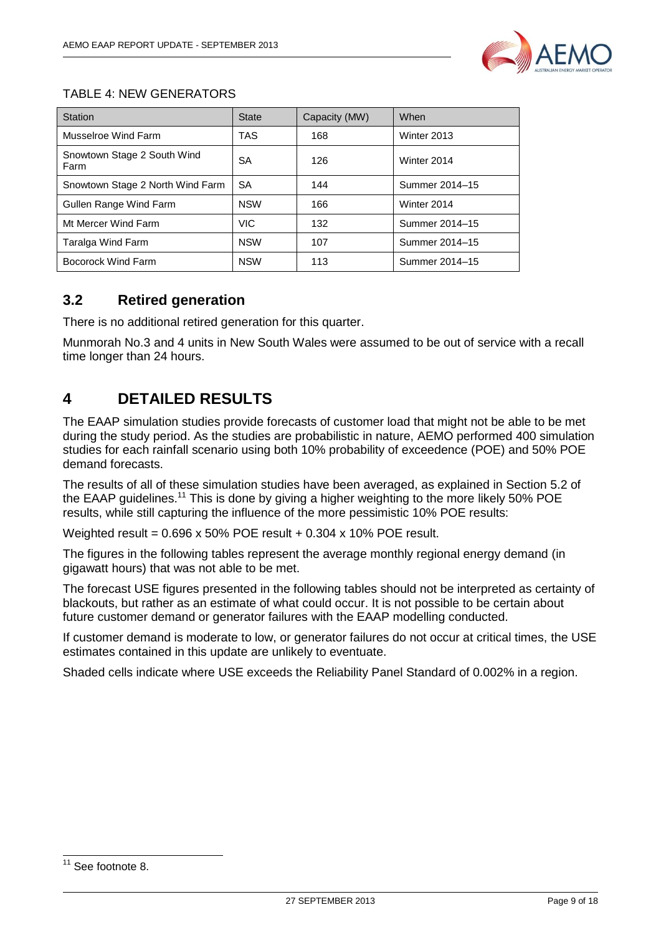

#### TABLE 4: NEW GENERATORS

| Station                             | <b>State</b> | Capacity (MW) | When           |
|-------------------------------------|--------------|---------------|----------------|
| Musselroe Wind Farm                 | TAS          | 168           | Winter 2013    |
| Snowtown Stage 2 South Wind<br>Farm | SA           | 126           | Winter 2014    |
| Snowtown Stage 2 North Wind Farm    | <b>SA</b>    | 144           | Summer 2014-15 |
| Gullen Range Wind Farm              | <b>NSW</b>   | 166           | Winter 2014    |
| Mt Mercer Wind Farm                 | <b>VIC</b>   | 132           | Summer 2014-15 |
| Taralga Wind Farm                   | <b>NSW</b>   | 107           | Summer 2014-15 |
| Bocorock Wind Farm                  | <b>NSW</b>   | 113           | Summer 2014-15 |

### <span id="page-8-0"></span>**3.2 Retired generation**

There is no additional retired generation for this quarter.

Munmorah No.3 and 4 units in New South Wales were assumed to be out of service with a recall time longer than 24 hours.

### <span id="page-8-1"></span>**4 DETAILED RESULTS**

The EAAP simulation studies provide forecasts of customer load that might not be able to be met during the study period. As the studies are probabilistic in nature, AEMO performed 400 simulation studies for each rainfall scenario using both 10% probability of exceedence (POE) and 50% POE demand forecasts.

The results of all of these simulation studies have been averaged, as explained in Section 5.2 of the EAAP guidelines.<sup>11</sup> This is done by giving a higher weighting to the more likely 50% POE results, while still capturing the influence of the more pessimistic 10% POE results:

Weighted result = 0.696 x 50% POE result + 0.304 x 10% POE result.

The figures in the following tables represent the average monthly regional energy demand (in gigawatt hours) that was not able to be met.

The forecast USE figures presented in the following tables should not be interpreted as certainty of blackouts, but rather as an estimate of what could occur. It is not possible to be certain about future customer demand or generator failures with the EAAP modelling conducted.

If customer demand is moderate to low, or generator failures do not occur at critical times, the USE estimates contained in this update are unlikely to eventuate.

Shaded cells indicate where USE exceeds the Reliability Panel Standard of 0.002% in a region.

 $\overline{\phantom{a}}$  $11$  See footnote 8.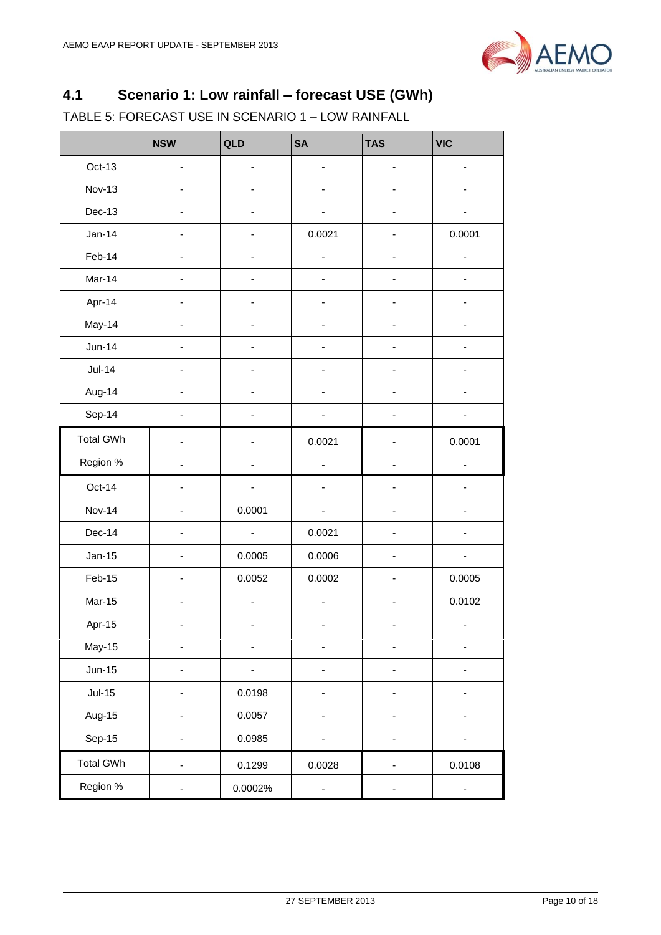

# <span id="page-9-0"></span>**4.1 Scenario 1: Low rainfall – forecast USE (GWh)**

TABLE 5: FORECAST USE IN SCENARIO 1 – LOW RAINFALL

|                  | <b>NSW</b>                   | QLD                          | <b>SA</b>                    | <b>TAS</b>                   | <b>VIC</b> |
|------------------|------------------------------|------------------------------|------------------------------|------------------------------|------------|
| Oct-13           | $\frac{1}{2}$                | $\overline{\phantom{a}}$     | $\qquad \qquad \blacksquare$ | $\centerdot$                 |            |
| <b>Nov-13</b>    |                              |                              |                              |                              |            |
| Dec-13           |                              |                              |                              |                              |            |
| $Jan-14$         |                              |                              | 0.0021                       |                              | 0.0001     |
| Feb-14           |                              |                              |                              |                              |            |
| Mar-14           | $\overline{\phantom{0}}$     | $\qquad \qquad \blacksquare$ | $\overline{\phantom{0}}$     | $\qquad \qquad \blacksquare$ | -          |
| Apr-14           |                              |                              |                              |                              |            |
| May-14           |                              |                              |                              |                              |            |
| $Jun-14$         | ٠                            | $\qquad \qquad \blacksquare$ | $\overline{\phantom{a}}$     | ÷,                           |            |
| $Jul-14$         |                              |                              |                              |                              |            |
| Aug-14           |                              |                              |                              |                              |            |
| Sep-14           |                              |                              |                              |                              |            |
| <b>Total GWh</b> | ä,                           | $\blacksquare$               | 0.0021                       | $\blacksquare$               | 0.0001     |
| Region %         |                              | -                            | ÷                            | ۰                            | -          |
| Oct-14           |                              |                              | ä,                           |                              |            |
| <b>Nov-14</b>    |                              | 0.0001                       |                              |                              |            |
| $Dec-14$         | $\overline{\phantom{a}}$     | $\blacksquare$               | 0.0021                       | $\qquad \qquad \blacksquare$ | -          |
| $Jan-15$         |                              | 0.0005                       | 0.0006                       |                              |            |
| Feb-15           |                              | 0.0052                       | 0.0002                       |                              | 0.0005     |
| <b>Mar-15</b>    |                              | $\blacksquare$               | ä,                           |                              | 0.0102     |
| Apr-15           | $\qquad \qquad \blacksquare$ | ٠                            | $\overline{\phantom{a}}$     | $\qquad \qquad \blacksquare$ | f          |
| May-15           | -                            | $\overline{\phantom{0}}$     | $\overline{\phantom{0}}$     | ۰                            |            |
| $Jun-15$         |                              |                              |                              |                              |            |
| $Jul-15$         |                              | 0.0198                       | $\overline{a}$               | -                            |            |
| Aug-15           | ٠                            | 0.0057                       | ÷                            | -                            |            |
| Sep-15           |                              | 0.0985                       |                              |                              |            |
| <b>Total GWh</b> | ÷                            | 0.1299                       | 0.0028                       | $\qquad \qquad \blacksquare$ | 0.0108     |
| Region %         | -                            | 0.0002%                      | ÷                            | ۰                            | ۰          |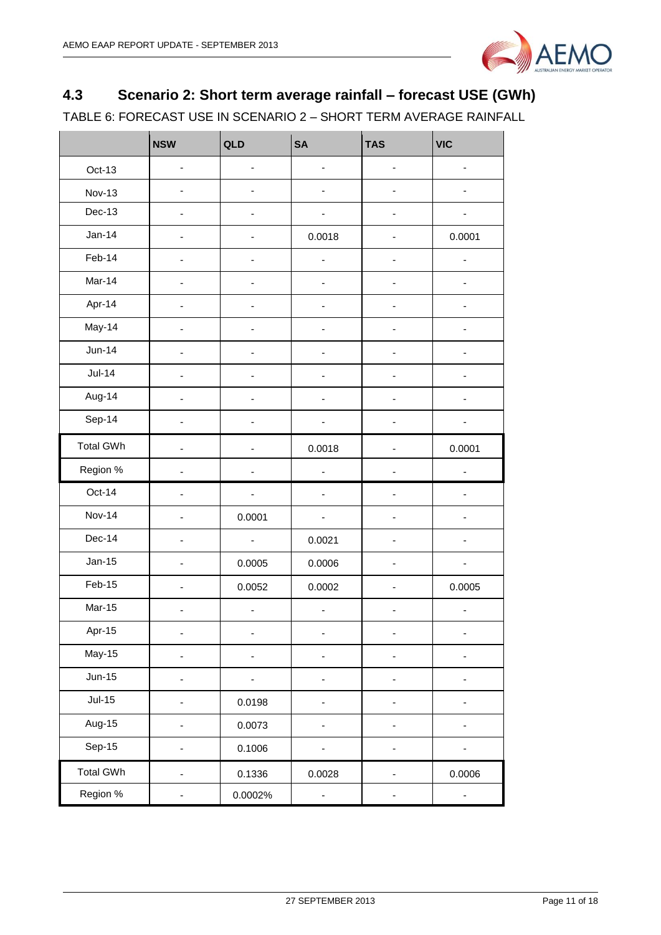

# <span id="page-10-0"></span>**4.3 Scenario 2: Short term average rainfall – forecast USE (GWh)**

TABLE 6: FORECAST USE IN SCENARIO 2 – SHORT TERM AVERAGE RAINFALL

|                  | <b>NSW</b>               | QLD                          | <b>SA</b>                    | <b>TAS</b>     | <b>VIC</b> |
|------------------|--------------------------|------------------------------|------------------------------|----------------|------------|
| Oct-13           | ÷,                       | ÷                            | ÷,                           |                |            |
| <b>Nov-13</b>    |                          |                              |                              |                |            |
| Dec-13           |                          | ÷                            |                              |                |            |
| $Jan-14$         | $\overline{\phantom{0}}$ | $\qquad \qquad \blacksquare$ | 0.0018                       | ÷,             | 0.0001     |
| Feb-14           |                          | $\overline{\phantom{a}}$     | $\overline{\phantom{a}}$     |                |            |
| Mar-14           |                          |                              | ÷                            |                |            |
| Apr-14           | $\blacksquare$           | $\overline{\phantom{0}}$     | $\overline{\phantom{0}}$     | $\blacksquare$ |            |
| May-14           |                          |                              |                              |                |            |
| $Jun-14$         |                          |                              |                              |                |            |
| $Jul-14$         |                          |                              |                              |                |            |
| Aug-14           | $\overline{\phantom{a}}$ | ÷                            | $\overline{\phantom{a}}$     | ٠              |            |
| Sep-14           |                          | ٠                            |                              | $\overline{a}$ |            |
| <b>Total GWh</b> |                          |                              | 0.0018                       |                | 0.0001     |
| Region %         |                          |                              | ÷                            |                | ÷,         |
| Oct-14           |                          |                              |                              |                |            |
| <b>Nov-14</b>    | $\overline{\phantom{0}}$ | 0.0001                       | $\overline{\phantom{0}}$     |                |            |
| Dec-14           |                          | ÷,                           | 0.0021                       |                |            |
| $Jan-15$         |                          | 0.0005                       | 0.0006                       |                |            |
| Feb-15           |                          | 0.0052                       | 0.0002                       |                | 0.0005     |
| <b>Mar-15</b>    | $\overline{\phantom{0}}$ | $\overline{\phantom{a}}$     | $\qquad \qquad \blacksquare$ |                | ÷          |
| Apr-15           | -                        | $\overline{\phantom{a}}$     | $\overline{\phantom{a}}$     | -              |            |
| May-15           |                          | $\overline{\phantom{a}}$     | $\overline{\phantom{a}}$     |                |            |
| $Jun-15$         | -                        | $\overline{\phantom{a}}$     |                              |                |            |
| $Jul-15$         |                          | 0.0198                       |                              |                |            |
| Aug-15           |                          | 0.0073                       | ۰                            |                |            |
| Sep-15           |                          | 0.1006                       |                              |                |            |
| <b>Total GWh</b> | ٠                        | 0.1336                       | 0.0028                       |                | 0.0006     |
| Region %         |                          | 0.0002%                      |                              |                |            |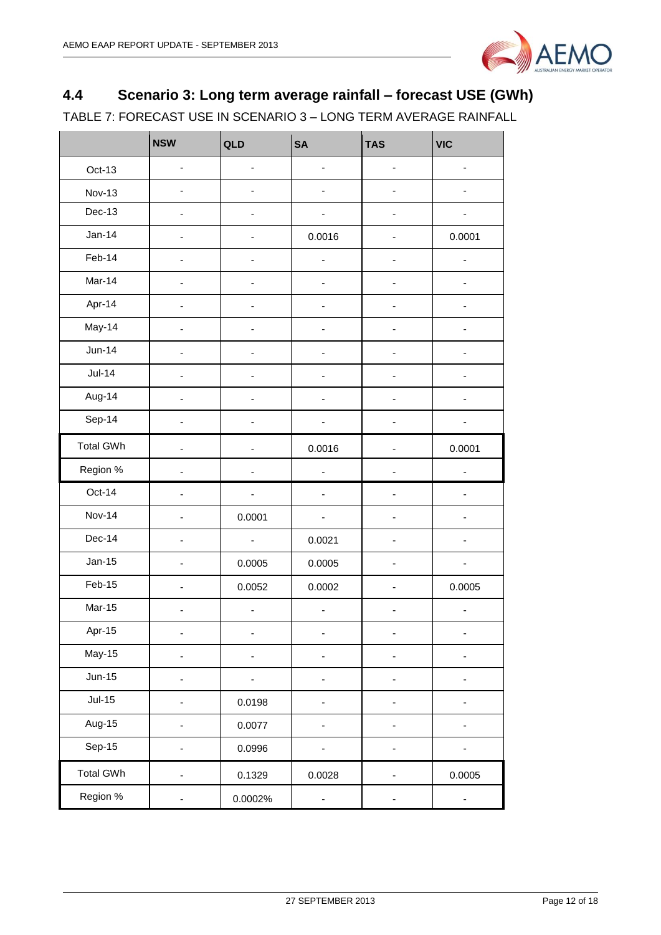

# <span id="page-11-0"></span>**4.4 Scenario 3: Long term average rainfall – forecast USE (GWh)**

TABLE 7: FORECAST USE IN SCENARIO 3 – LONG TERM AVERAGE RAINFALL

|                  | <b>NSW</b>               | QLD                          | <b>SA</b>                    | <b>TAS</b>    | <b>VIC</b> |
|------------------|--------------------------|------------------------------|------------------------------|---------------|------------|
| Oct-13           | ÷,                       | ÷,                           | $\qquad \qquad \blacksquare$ | -             |            |
| <b>Nov-13</b>    |                          |                              |                              |               |            |
| Dec-13           |                          |                              |                              |               |            |
| $Jan-14$         |                          |                              | 0.0016                       |               | 0.0001     |
| Feb-14           |                          |                              | ÷,                           |               |            |
| Mar-14           |                          |                              |                              |               |            |
| Apr-14           | -                        | $\overline{\phantom{a}}$     | $\overline{\phantom{0}}$     | $\frac{1}{2}$ | ٠          |
| May-14           |                          |                              |                              | ÷             |            |
| <b>Jun-14</b>    |                          |                              |                              | ÷             |            |
| $Jul-14$         |                          |                              |                              |               |            |
| Aug-14           |                          |                              |                              |               |            |
| Sep-14           |                          |                              |                              |               |            |
| <b>Total GWh</b> |                          |                              | 0.0016                       |               | 0.0001     |
| Region %         |                          |                              |                              |               |            |
| Oct-14           | ä,                       | $\overline{\phantom{a}}$     | $\blacksquare$               | ٠             | -          |
| <b>Nov-14</b>    | ٠                        | 0.0001                       | ÷,                           | ٠             |            |
| Dec-14           |                          | $\blacksquare$               | 0.0021                       |               |            |
| $Jan-15$         |                          | 0.0005                       | 0.0005                       |               |            |
| Feb-15           |                          | 0.0052                       | 0.0002                       |               | 0.0005     |
| <b>Mar-15</b>    |                          | $\overline{\phantom{a}}$     | $\blacksquare$               | ٠             | ÷          |
| Apr-15           | -                        | $\qquad \qquad \blacksquare$ | ۰                            | -             | -          |
| May-15           |                          |                              |                              |               |            |
| $Jun-15$         |                          |                              |                              | -             |            |
| $Jul-15$         | $\overline{\phantom{0}}$ | 0.0198                       |                              | -             |            |
| Aug-15           | -                        | 0.0077                       | $\overline{\phantom{0}}$     | ۰             |            |
| Sep-15           |                          | 0.0996                       |                              |               |            |
| <b>Total GWh</b> |                          | 0.1329                       | 0.0028                       |               | 0.0005     |
| Region %         |                          | 0.0002%                      |                              |               | -          |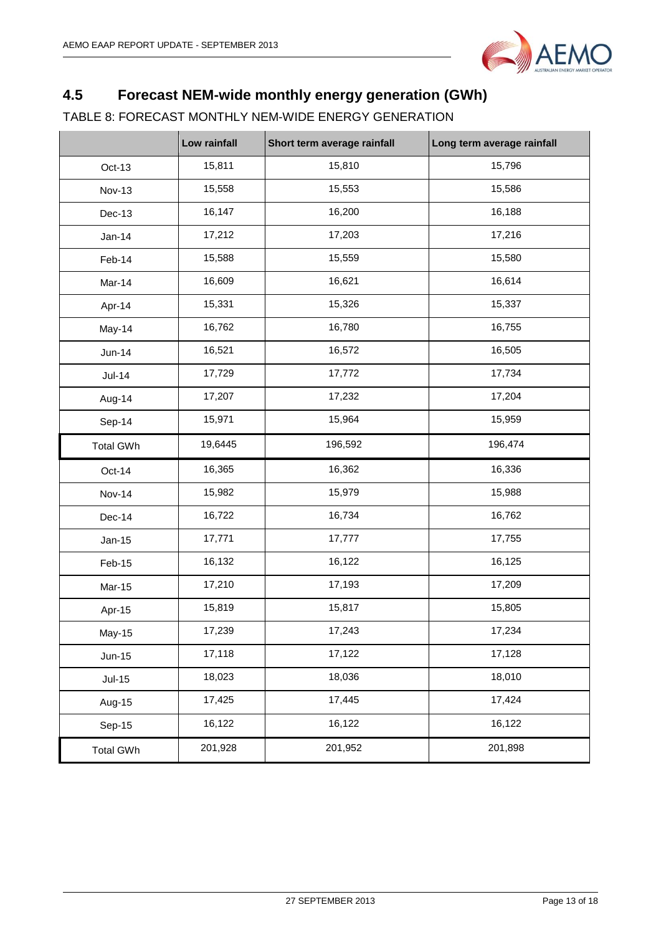

# <span id="page-12-0"></span>**4.5 Forecast NEM-wide monthly energy generation (GWh)**

### TABLE 8: FORECAST MONTHLY NEM-WIDE ENERGY GENERATION

|                  | Low rainfall | Short term average rainfall | Long term average rainfall |
|------------------|--------------|-----------------------------|----------------------------|
| Oct-13           | 15,811       | 15,810                      | 15,796                     |
| <b>Nov-13</b>    | 15,558       | 15,553                      | 15,586                     |
| Dec-13           | 16,147       | 16,200                      | 16,188                     |
| $Jan-14$         | 17,212       | 17,203                      | 17,216                     |
| Feb-14           | 15,588       | 15,559                      | 15,580                     |
| Mar-14           | 16,609       | 16,621                      | 16,614                     |
| Apr-14           | 15,331       | 15,326                      | 15,337                     |
| May-14           | 16,762       | 16,780                      | 16,755                     |
| <b>Jun-14</b>    | 16,521       | 16,572                      | 16,505                     |
| $Jul-14$         | 17,729       | 17,772                      | 17,734                     |
| Aug-14           | 17,207       | 17,232                      | 17,204                     |
| Sep-14           | 15,971       | 15,964                      | 15,959                     |
| <b>Total GWh</b> | 19,6445      | 196,592                     | 196,474                    |
| Oct-14           | 16,365       | 16,362                      | 16,336                     |
| <b>Nov-14</b>    | 15,982       | 15,979                      | 15,988                     |
| Dec-14           | 16,722       | 16,734                      | 16,762                     |
| $Jan-15$         | 17,771       | 17,777                      | 17,755                     |
| Feb-15           | 16,132       | 16,122                      | 16,125                     |
| Mar-15           | 17,210       | 17,193                      | 17,209                     |
| Apr-15           | 15,819       | 15,817                      | 15,805                     |
| May-15           | 17,239       | 17,243                      | 17,234                     |
| $Jun-15$         | 17,118       | 17,122                      | 17,128                     |
| $Jul-15$         | 18,023       | 18,036                      | 18,010                     |
| Aug-15           | 17,425       | 17,445                      | 17,424                     |
| Sep-15           | 16,122       | 16,122                      | 16,122                     |
| <b>Total GWh</b> | 201,928      | 201,952                     | 201,898                    |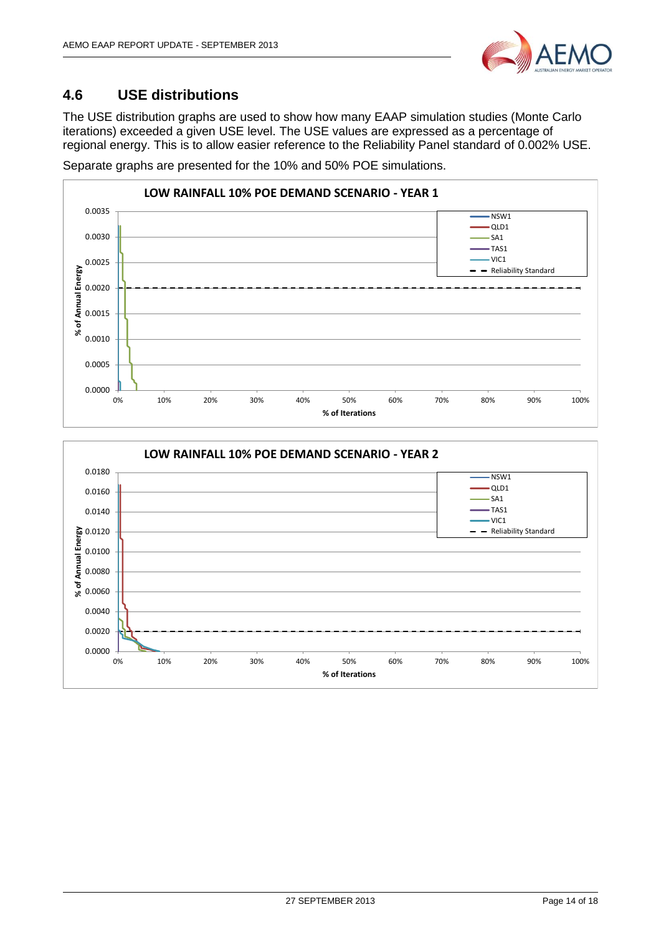

### <span id="page-13-0"></span>**4.6 USE distributions**

The USE distribution graphs are used to show how many EAAP simulation studies (Monte Carlo iterations) exceeded a given USE level. The USE values are expressed as a percentage of regional energy. This is to allow easier reference to the Reliability Panel standard of 0.002% USE.

Separate graphs are presented for the 10% and 50% POE simulations.



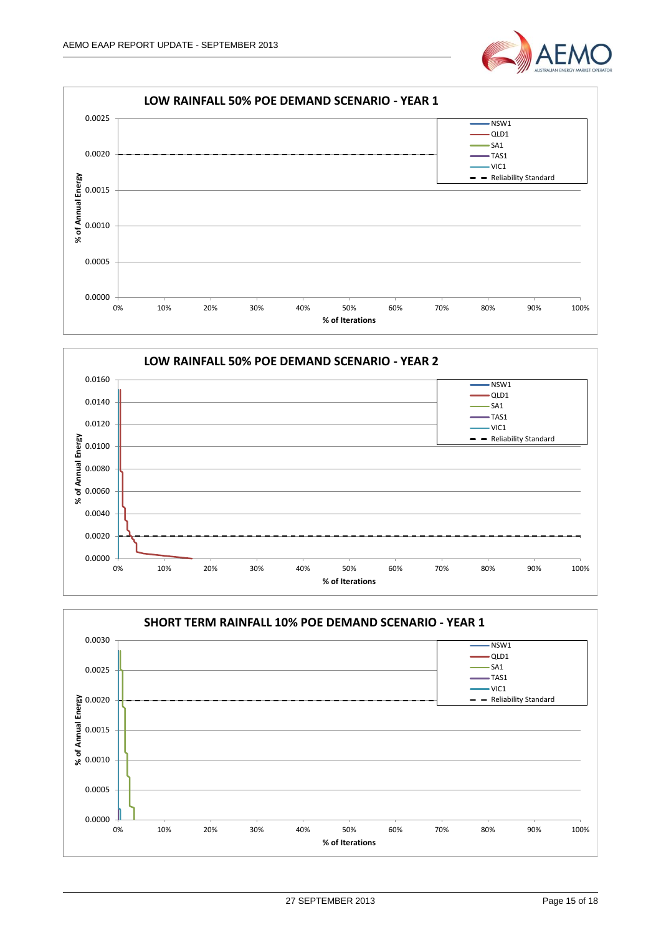





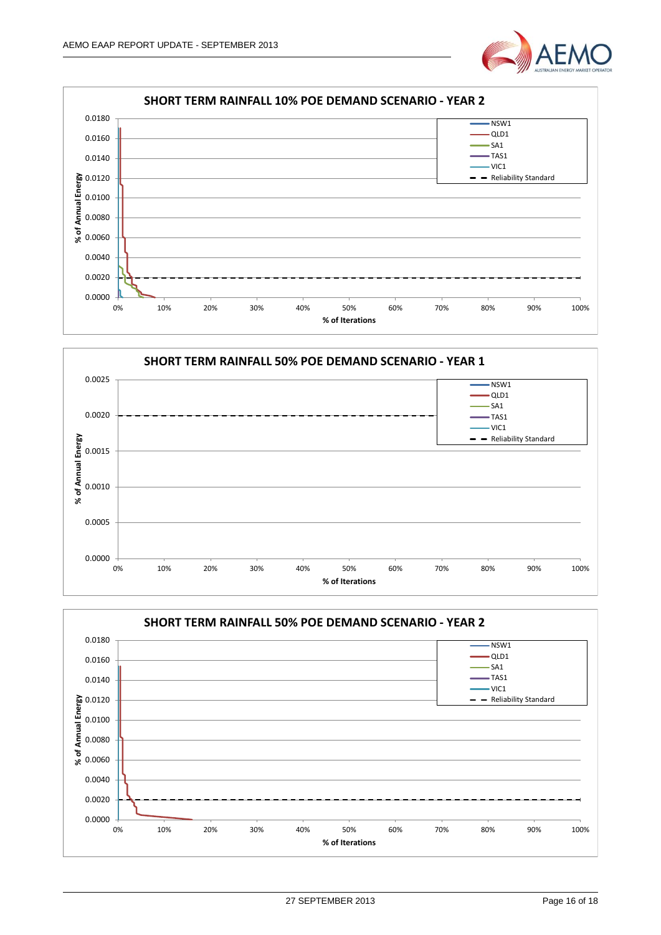







27 SEPTEMBER 2013 Page 16 of 18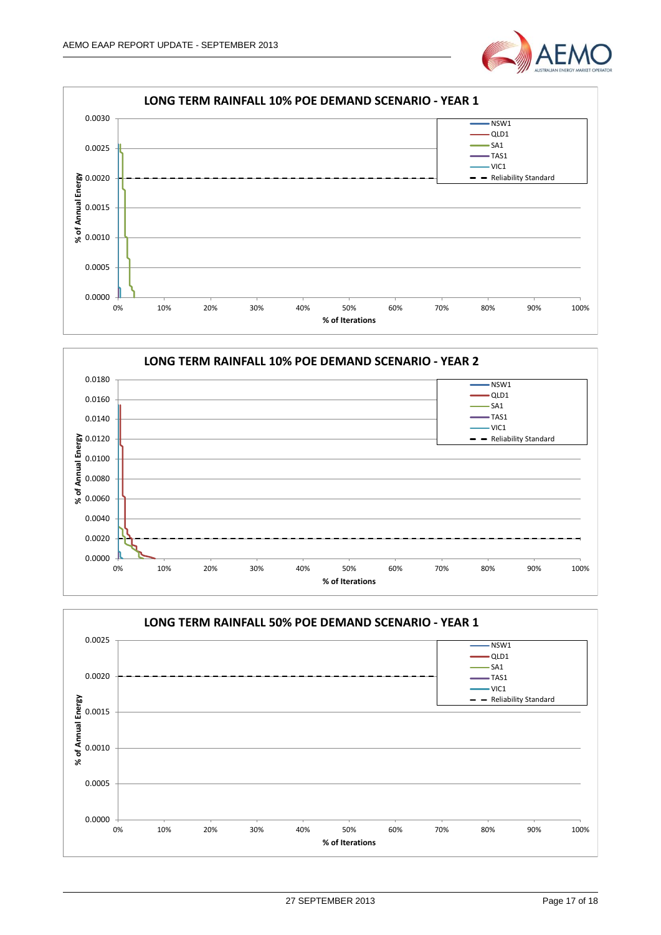